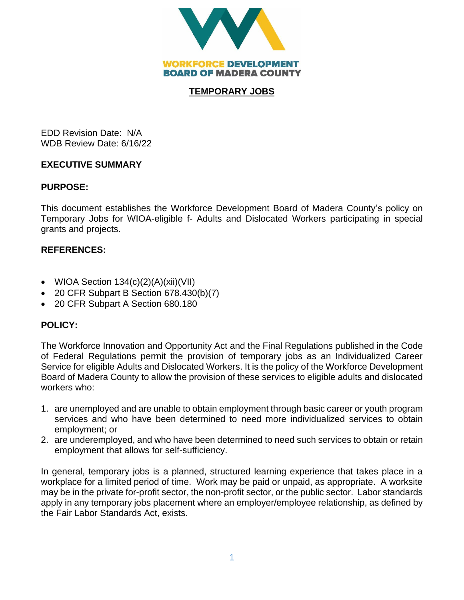

## **TEMPORARY JOBS**

EDD Revision Date: N/A WDB Review Date: 6/16/22

## **EXECUTIVE SUMMARY**

# **PURPOSE:**

This document establishes the Workforce Development Board of Madera County's policy on Temporary Jobs for WIOA-eligible f- Adults and Dislocated Workers participating in special grants and projects.

# **REFERENCES:**

- WIOA Section 134(c)(2)(A)(xii)(VII)
- 20 CFR Subpart B Section 678.430(b)(7)
- 20 CFR Subpart A Section 680.180

# **POLICY:**

The Workforce Innovation and Opportunity Act and the Final Regulations published in the Code of Federal Regulations permit the provision of temporary jobs as an Individualized Career Service for eligible Adults and Dislocated Workers. It is the policy of the Workforce Development Board of Madera County to allow the provision of these services to eligible adults and dislocated workers who:

- 1. are unemployed and are unable to obtain employment through basic career or youth program services and who have been determined to need more individualized services to obtain employment; or
- 2. are underemployed, and who have been determined to need such services to obtain or retain employment that allows for self-sufficiency.

In general, temporary jobs is a planned, structured learning experience that takes place in a workplace for a limited period of time. Work may be paid or unpaid, as appropriate. A worksite may be in the private for-profit sector, the non-profit sector, or the public sector. Labor standards apply in any temporary jobs placement where an employer/employee relationship, as defined by the Fair Labor Standards Act, exists.